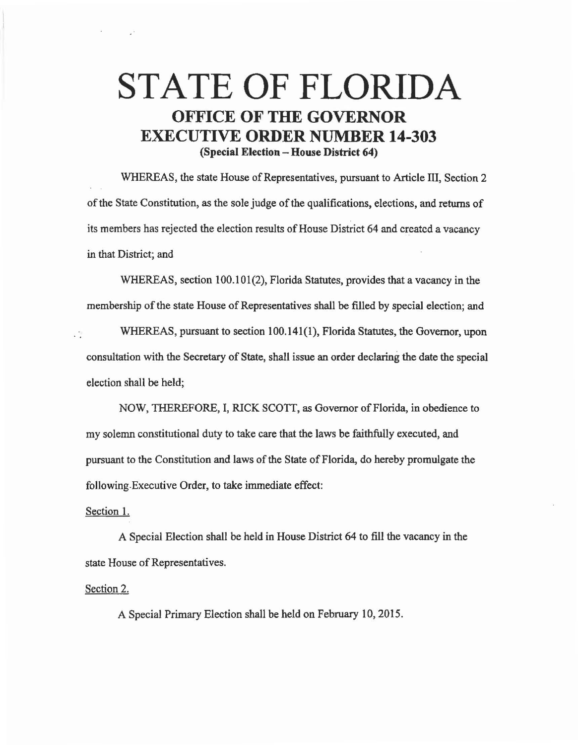## **STATE OF FLORIDA OFFICE OF THE GOVERNOR EXECUTIVE ORDER NUMBER 14-303 (Special Election - House District 64)**

WHEREAS, the state House of Representatives, pursuant to Article III, Section 2 of the State Constitution, as the sole judge of the qualifications, elections, and returns of its members has rejected the election results of House District 64 and created a vacancy in that District; and

WHEREAS, section 100.101(2), Florida Statutes, provides that a vacancy in the membership of the state House of Representatives shall be filled by special election; and

WHEREAS, pursuant to section 100.141(1), Florida Statutes, the Governor, upon гÙ consultation with the Secretary of State, shall issue an order declaring the date the special election shall be held;

NOW, THEREFORE, I, RICK SCOTT, as Governor of Florida, in obedience to my solemn constitutional duty to take care that the laws be faithfully executed, and pursuant to the Constitution and laws of the State of Florida, do hereby promulgate the following.Executive Order, to take immediate effect:

## Section **1.**

A Special Election shall be held in House District 64 to fill the vacancy in the state House of Representatives.

## Section 2.

A Special Primary Election shall be held on February 10, 2015.